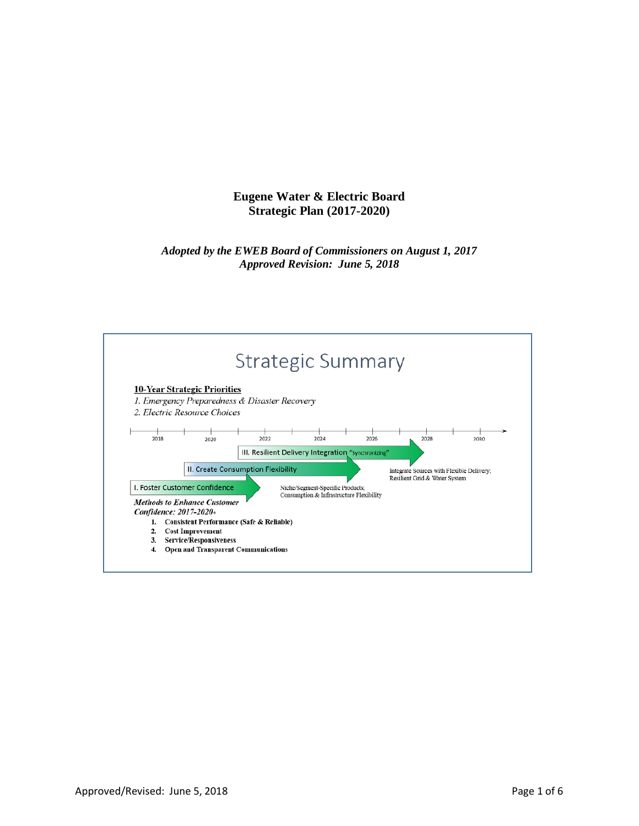# **Eugene Water & Electric Board Strategic Plan (2017-2020)**

## *Adopted by the EWEB Board of Commissioners on August 1, 2017 Approved Revision: June 5, 2018*

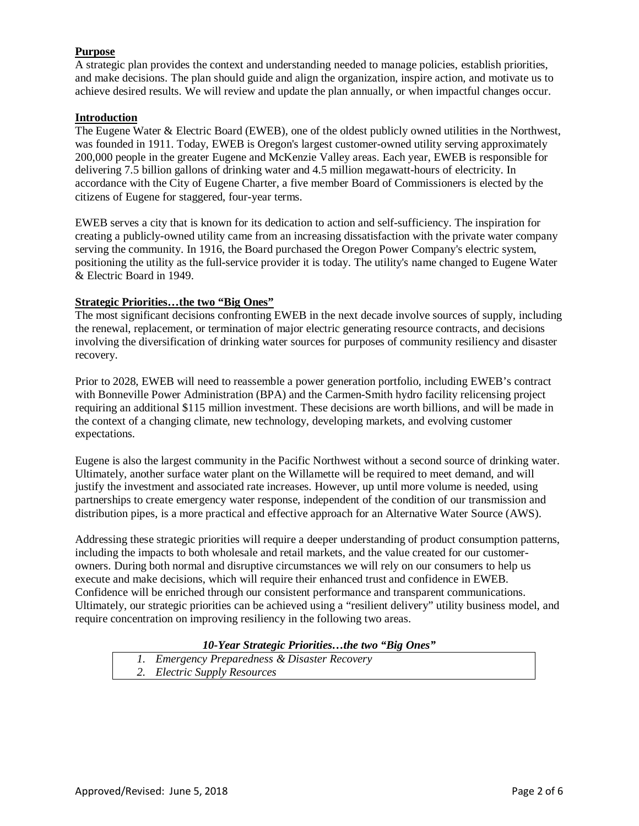## **Purpose**

A strategic plan provides the context and understanding needed to manage policies, establish priorities, and make decisions. The plan should guide and align the organization, inspire action, and motivate us to achieve desired results. We will review and update the plan annually, or when impactful changes occur.

## **Introduction**

The Eugene Water & Electric Board (EWEB), one of the oldest publicly owned utilities in the Northwest, was founded in 1911. Today, EWEB is Oregon's largest customer-owned utility serving approximately 200,000 people in the greater Eugene and McKenzie Valley areas. Each year, EWEB is responsible for delivering 7.5 billion gallons of drinking water and 4.5 million megawatt-hours of electricity. In accordance with the City of Eugene Charter, a five member Board of Commissioners is elected by the citizens of Eugene for staggered, four-year terms.

EWEB serves a city that is known for its dedication to action and self-sufficiency. The inspiration for creating a publicly-owned utility came from an increasing dissatisfaction with the private water company serving the community. In 1916, the Board purchased the Oregon Power Company's electric system, positioning the utility as the full-service provider it is today. The utility's name changed to Eugene Water & Electric Board in 1949.

### **Strategic Priorities…the two "Big Ones"**

The most significant decisions confronting EWEB in the next decade involve sources of supply, including the renewal, replacement, or termination of major electric generating resource contracts, and decisions involving the diversification of drinking water sources for purposes of community resiliency and disaster recovery.

Prior to 2028, EWEB will need to reassemble a power generation portfolio, including EWEB's contract with Bonneville Power Administration (BPA) and the Carmen-Smith hydro facility relicensing project requiring an additional \$115 million investment. These decisions are worth billions, and will be made in the context of a changing climate, new technology, developing markets, and evolving customer expectations.

Eugene is also the largest community in the Pacific Northwest without a second source of drinking water. Ultimately, another surface water plant on the Willamette will be required to meet demand, and will justify the investment and associated rate increases. However, up until more volume is needed, using partnerships to create emergency water response, independent of the condition of our transmission and distribution pipes, is a more practical and effective approach for an Alternative Water Source (AWS).

Addressing these strategic priorities will require a deeper understanding of product consumption patterns, including the impacts to both wholesale and retail markets, and the value created for our customerowners. During both normal and disruptive circumstances we will rely on our consumers to help us execute and make decisions, which will require their enhanced trust and confidence in EWEB. Confidence will be enriched through our consistent performance and transparent communications. Ultimately, our strategic priorities can be achieved using a "resilient delivery" utility business model, and require concentration on improving resiliency in the following two areas.

## *10-Year Strategic Priorities…the two "Big Ones"*

| 1. Emergency Preparedness & Disaster Recovery |
|-----------------------------------------------|
| 2. Electric Supply Resources                  |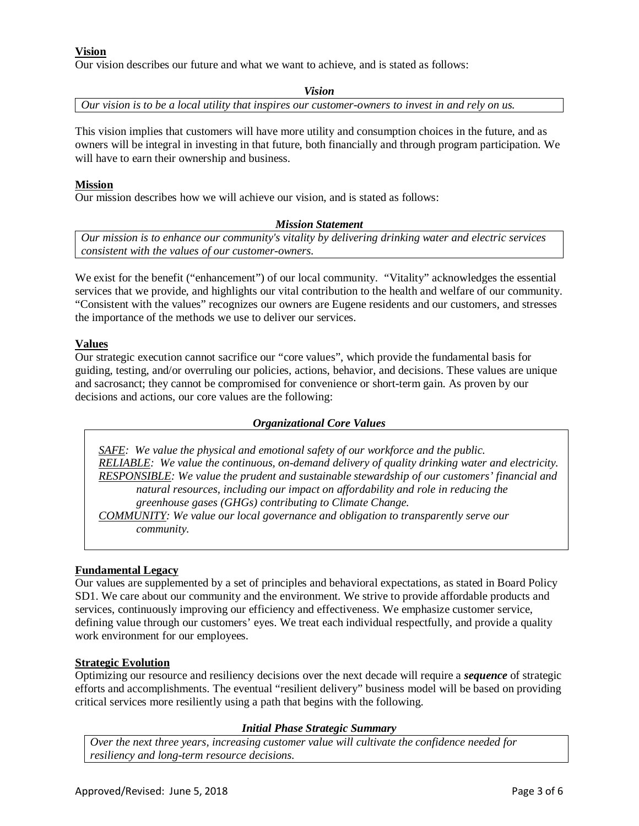## **Vision**

Our vision describes our future and what we want to achieve, and is stated as follows:

*Vision*

*Our vision is to be a local utility that inspires our customer-owners to invest in and rely on us.*

This vision implies that customers will have more utility and consumption choices in the future, and as owners will be integral in investing in that future, both financially and through program participation. We will have to earn their ownership and business.

### **Mission**

Our mission describes how we will achieve our vision, and is stated as follows:

#### *Mission Statement*

*Our mission is to enhance our community's vitality by delivering drinking water and electric services consistent with the values of our customer-owners.*

We exist for the benefit ("enhancement") of our local community. "Vitality" acknowledges the essential services that we provide, and highlights our vital contribution to the health and welfare of our community. "Consistent with the values" recognizes our owners are Eugene residents and our customers, and stresses the importance of the methods we use to deliver our services.

## **Values**

Our strategic execution cannot sacrifice our "core values", which provide the fundamental basis for guiding, testing, and/or overruling our policies, actions, behavior, and decisions. These values are unique and sacrosanct; they cannot be compromised for convenience or short-term gain. As proven by our decisions and actions, our core values are the following:

#### *Organizational Core Values*

*SAFE: We value the physical and emotional safety of our workforce and the public. RELIABLE: We value the continuous, on-demand delivery of quality drinking water and electricity. RESPONSIBLE: We value the prudent and sustainable stewardship of our customers' financial and natural resources, including our impact on affordability and role in reducing the greenhouse gases (GHGs) contributing to Climate Change.*

*COMMUNITY: We value our local governance and obligation to transparently serve our community.*

## **Fundamental Legacy**

Our values are supplemented by a set of principles and behavioral expectations, as stated in Board Policy SD1. We care about our community and the environment. We strive to provide affordable products and services, continuously improving our efficiency and effectiveness. We emphasize customer service, defining value through our customers' eyes. We treat each individual respectfully, and provide a quality work environment for our employees.

## **Strategic Evolution**

Optimizing our resource and resiliency decisions over the next decade will require a *sequence* of strategic efforts and accomplishments. The eventual "resilient delivery" business model will be based on providing critical services more resiliently using a path that begins with the following.

#### *Initial Phase Strategic Summary*

*Over the next three years, increasing customer value will cultivate the confidence needed for resiliency and long-term resource decisions.*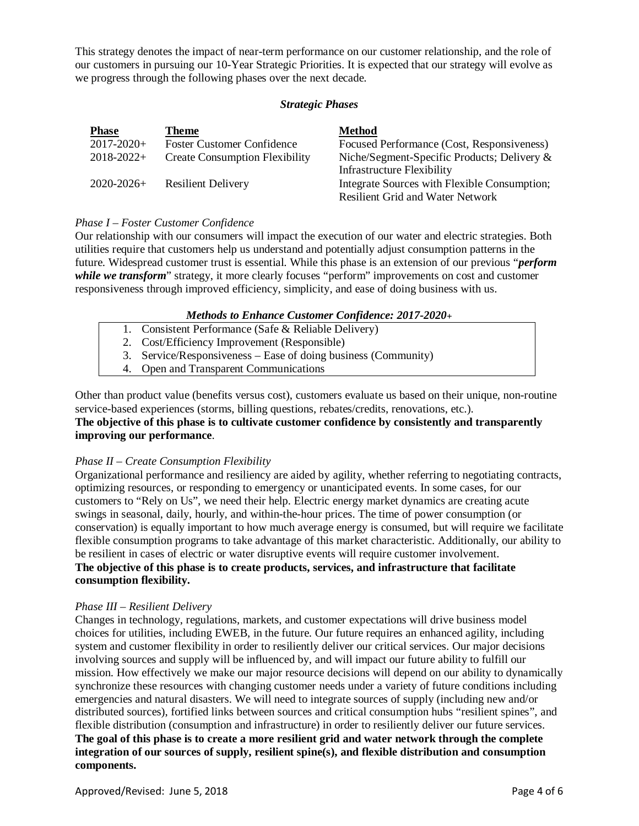This strategy denotes the impact of near-term performance on our customer relationship, and the role of our customers in pursuing our 10-Year Strategic Priorities. It is expected that our strategy will evolve as we progress through the following phases over the next decade.

#### *Strategic Phases*

| <b>Phase</b>    | <b>Theme</b>                          | <b>Method</b>                                                                           |
|-----------------|---------------------------------------|-----------------------------------------------------------------------------------------|
| $2017 - 2020 +$ | <b>Foster Customer Confidence</b>     | Focused Performance (Cost, Responsiveness)                                              |
| $2018 - 2022 +$ | <b>Create Consumption Flexibility</b> | Niche/Segment-Specific Products; Delivery $\&$<br><b>Infrastructure Flexibility</b>     |
| $2020 - 2026 +$ | <b>Resilient Delivery</b>             | Integrate Sources with Flexible Consumption;<br><b>Resilient Grid and Water Network</b> |

## *Phase I – Foster Customer Confidence*

Our relationship with our consumers will impact the execution of our water and electric strategies. Both utilities require that customers help us understand and potentially adjust consumption patterns in the future. Widespread customer trust is essential. While this phase is an extension of our previous "*perform*  while we transform" strategy, it more clearly focuses "perform" improvements on cost and customer responsiveness through improved efficiency, simplicity, and ease of doing business with us.

## *Methods to Enhance Customer Confidence: 2017-2020+*

- 1. Consistent Performance (Safe & Reliable Delivery)
- 2. Cost/Efficiency Improvement (Responsible)
- 3. Service/Responsiveness Ease of doing business (Community)
- 4. Open and Transparent Communications

Other than product value (benefits versus cost), customers evaluate us based on their unique, non-routine service-based experiences (storms, billing questions, rebates/credits, renovations, etc.).

## **The objective of this phase is to cultivate customer confidence by consistently and transparently improving our performance**.

## *Phase II – Create Consumption Flexibility*

Organizational performance and resiliency are aided by agility, whether referring to negotiating contracts, optimizing resources, or responding to emergency or unanticipated events. In some cases, for our customers to "Rely on Us", we need their help. Electric energy market dynamics are creating acute swings in seasonal, daily, hourly, and within-the-hour prices. The time of power consumption (or conservation) is equally important to how much average energy is consumed, but will require we facilitate flexible consumption programs to take advantage of this market characteristic. Additionally, our ability to be resilient in cases of electric or water disruptive events will require customer involvement. **The objective of this phase is to create products, services, and infrastructure that facilitate consumption flexibility.**

## *Phase III – Resilient Delivery*

Changes in technology, regulations, markets, and customer expectations will drive business model choices for utilities, including EWEB, in the future. Our future requires an enhanced agility, including system and customer flexibility in order to resiliently deliver our critical services. Our major decisions involving sources and supply will be influenced by, and will impact our future ability to fulfill our mission. How effectively we make our major resource decisions will depend on our ability to dynamically synchronize these resources with changing customer needs under a variety of future conditions including emergencies and natural disasters. We will need to integrate sources of supply (including new and/or distributed sources), fortified links between sources and critical consumption hubs "resilient spines", and flexible distribution (consumption and infrastructure) in order to resiliently deliver our future services. **The goal of this phase is to create a more resilient grid and water network through the complete integration of our sources of supply, resilient spine(s), and flexible distribution and consumption components.**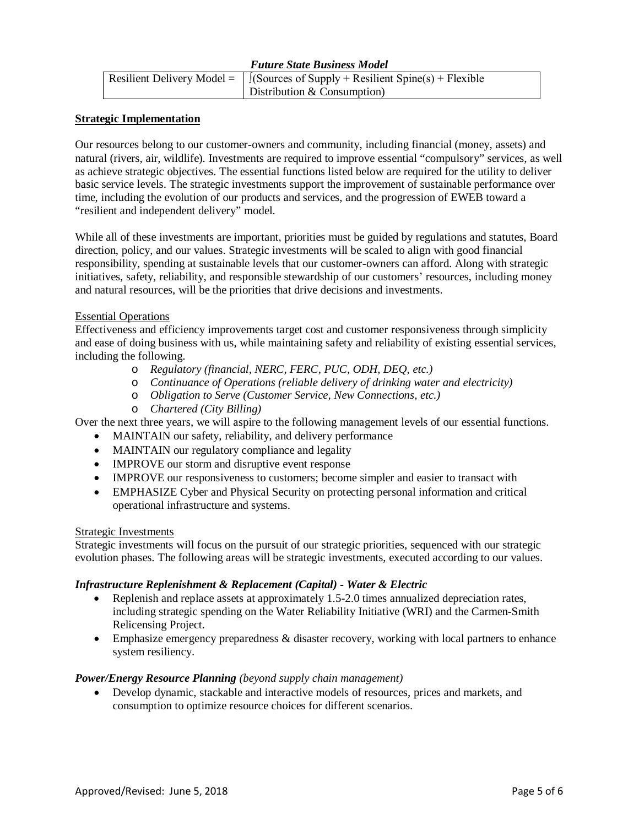| <b>Future State Business Model</b> |                                                                                      |  |  |
|------------------------------------|--------------------------------------------------------------------------------------|--|--|
|                                    | Resilient Delivery Model = $\int$ (Sources of Supply + Resilient Spine(s) + Flexible |  |  |
|                                    | Distribution $&$ Consumption)                                                        |  |  |

### **Strategic Implementation**

Our resources belong to our customer-owners and community, including financial (money, assets) and natural (rivers, air, wildlife). Investments are required to improve essential "compulsory" services, as well as achieve strategic objectives. The essential functions listed below are required for the utility to deliver basic service levels. The strategic investments support the improvement of sustainable performance over time, including the evolution of our products and services, and the progression of EWEB toward a "resilient and independent delivery" model.

While all of these investments are important, priorities must be guided by regulations and statutes, Board direction, policy, and our values. Strategic investments will be scaled to align with good financial responsibility, spending at sustainable levels that our customer-owners can afford. Along with strategic initiatives, safety, reliability, and responsible stewardship of our customers' resources, including money and natural resources, will be the priorities that drive decisions and investments.

#### Essential Operations

Effectiveness and efficiency improvements target cost and customer responsiveness through simplicity and ease of doing business with us, while maintaining safety and reliability of existing essential services, including the following.

- o *Regulatory (financial, NERC, FERC, PUC, ODH, DEQ, etc.)*
- o *Continuance of Operations (reliable delivery of drinking water and electricity)*
- o *Obligation to Serve (Customer Service, New Connections, etc.)*
- o *Chartered (City Billing)*

Over the next three years, we will aspire to the following management levels of our essential functions.

- MAINTAIN our safety, reliability, and delivery performance
- MAINTAIN our regulatory compliance and legality
- IMPROVE our storm and disruptive event response
- IMPROVE our responsiveness to customers; become simpler and easier to transact with
- EMPHASIZE Cyber and Physical Security on protecting personal information and critical operational infrastructure and systems.

#### Strategic Investments

Strategic investments will focus on the pursuit of our strategic priorities, sequenced with our strategic evolution phases. The following areas will be strategic investments, executed according to our values.

## *Infrastructure Replenishment & Replacement (Capital) - Water & Electric*

- Replenish and replace assets at approximately 1.5-2.0 times annualized depreciation rates, including strategic spending on the Water Reliability Initiative (WRI) and the Carmen-Smith Relicensing Project.
- Emphasize emergency preparedness & disaster recovery, working with local partners to enhance system resiliency.

## *Power/Energy Resource Planning (beyond supply chain management)*

• Develop dynamic, stackable and interactive models of resources, prices and markets, and consumption to optimize resource choices for different scenarios.